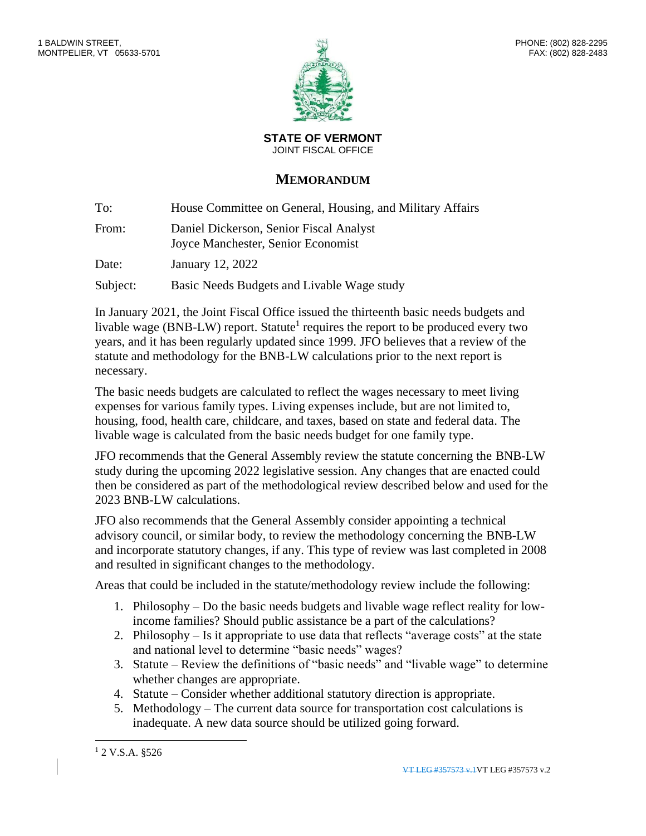

**STATE OF VERMONT** JOINT FISCAL OFFICE

## **MEMORANDUM**

| To:      | House Committee on General, Housing, and Military Affairs                     |
|----------|-------------------------------------------------------------------------------|
| From:    | Daniel Dickerson, Senior Fiscal Analyst<br>Joyce Manchester, Senior Economist |
| Date:    | January 12, 2022                                                              |
| Subject: | Basic Needs Budgets and Livable Wage study                                    |

In January 2021, the Joint Fiscal Office issued the thirteenth basic needs budgets and livable wage (BNB-LW) report. Statute<sup>1</sup> requires the report to be produced every two years, and it has been regularly updated since 1999. JFO believes that a review of the statute and methodology for the BNB-LW calculations prior to the next report is necessary.

The basic needs budgets are calculated to reflect the wages necessary to meet living expenses for various family types. Living expenses include, but are not limited to, housing, food, health care, childcare, and taxes, based on state and federal data. The livable wage is calculated from the basic needs budget for one family type.

JFO recommends that the General Assembly review the statute concerning the BNB-LW study during the upcoming 2022 legislative session. Any changes that are enacted could then be considered as part of the methodological review described below and used for the 2023 BNB-LW calculations.

JFO also recommends that the General Assembly consider appointing a technical advisory council, or similar body, to review the methodology concerning the BNB-LW and incorporate statutory changes, if any. This type of review was last completed in 2008 and resulted in significant changes to the methodology.

Areas that could be included in the statute/methodology review include the following:

- 1. Philosophy Do the basic needs budgets and livable wage reflect reality for lowincome families? Should public assistance be a part of the calculations?
- 2. Philosophy Is it appropriate to use data that reflects "average costs" at the state and national level to determine "basic needs" wages?
- 3. Statute Review the definitions of "basic needs" and "livable wage" to determine whether changes are appropriate.
- 4. Statute Consider whether additional statutory direction is appropriate.
- 5. Methodology The current data source for transportation cost calculations is inadequate. A new data source should be utilized going forward.

<sup>1</sup> 2 V.S.A. §526